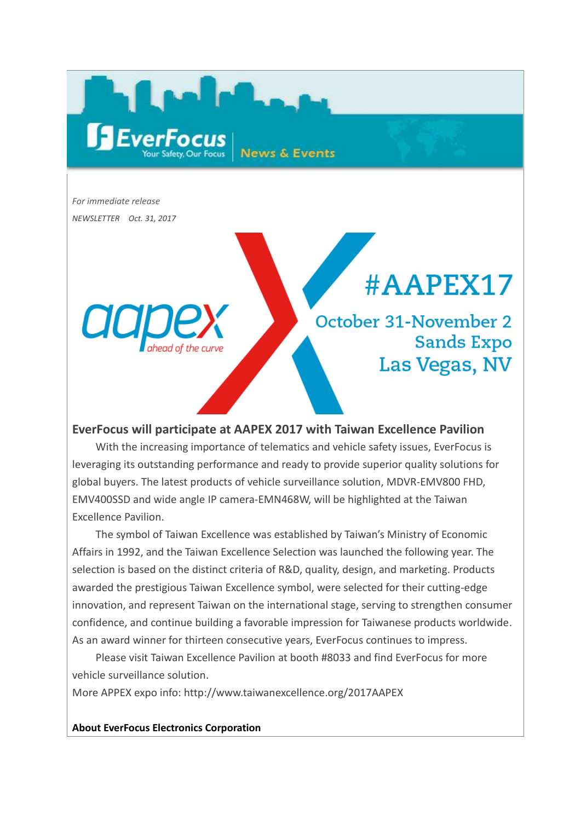*For immediate release NEWSLETTER Oct. 31, 2017*

**SEver** 

## #AAPEX17

October 31-November 2 **Sands Expo** Las Vegas, NV

## **EverFocus will participate at AAPEX 2017 with Taiwan Excellence Pavilion**

**News & Events** 

With the increasing importance of telematics and vehicle safety issues, EverFocus is leveraging its outstanding performance and ready to provide superior quality solutions for global buyers. The latest products of vehicle surveillance solution, MDVR-EMV800 FHD, EMV400SSD and wide angle IP camera-EMN468W, will be highlighted at the Taiwan Excellence Pavilion.

The symbol of Taiwan Excellence was established by Taiwan's Ministry of Economic Affairs in 1992, and the Taiwan Excellence Selection was launched the following year. The selection is based on the distinct criteria of R&D, quality, design, and marketing. Products awarded the prestigious Taiwan Excellence symbol, were selected for their cutting-edge innovation, and represent Taiwan on the international stage, serving to strengthen consumer confidence, and continue building a favorable impression for Taiwanese products worldwide. As an award winner for thirteen consecutive years, EverFocus continues to impress.

Please visit Taiwan Excellence Pavilion at booth #8033 and find EverFocus for more vehicle surveillance solution.

More APPEX expo info: http://www.taiwanexcellence.org/2017AAPEX

**About EverFocus Electronics Corporation**